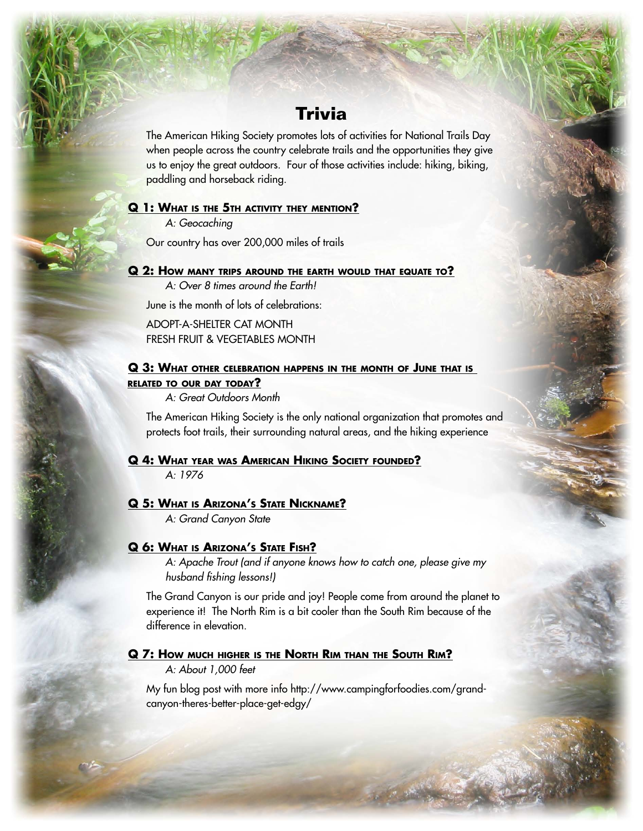# **Trivia**

The American Hiking Society promotes lots of activities for National Trails Day when people across the country celebrate trails and the opportunities they give us to enjoy the great outdoors. Four of those activities include: hiking, biking, paddling and horseback riding.

## **Q 1: WHAT IS THE 5TH ACTIVITY THEY MENTION?**

A: Geocaching

Our country has over 200,000 miles of trails

## **Q 2: HOW MANY TRIPS AROUND THE EARTH WOULD THAT EQUATE TO?**

A: Over 8 times around the Earth!

June is the month of lots of celebrations:

ADOPT-A-SHELTER CAT MONTH FRESH FRUIT & VEGETABLES MONTH

## **Q 3: WHAT OTHER CELEBRATION HAPPENS IN THE MONTH OF JUNE THAT IS RELATED TO OUR DAY TODAY?**

A: Great Outdoors Month

The American Hiking Society is the only national organization that promotes and protects foot trails, their surrounding natural areas, and the hiking experience

# **Q 4: WHAT YEAR WAS AMERICAN HIKING SOCIETY FOUNDED?** A: 1976

#### **Q 5: WHAT IS ARIZONA'S STATE NICKNAME?**

A: Grand Canyon State

#### **Q 6: WHAT IS ARIZONA'S STATE FISH?**

A: Apache Trout (and if anyone knows how to catch one, please give my husband fishing lessons!)

The Grand Canyon is our pride and joy! People come from around the planet to experience it! The North Rim is a bit cooler than the South Rim because of the difference in elevation.

## **Q 7: HOW MUCH HIGHER IS THE NORTH RIM THAN THE SOUTH RIM?**

A: About 1,000 feet

My fun blog post with more info http://www.campingforfoodies.com/grandcanyon-theres-better-place-get-edgy/